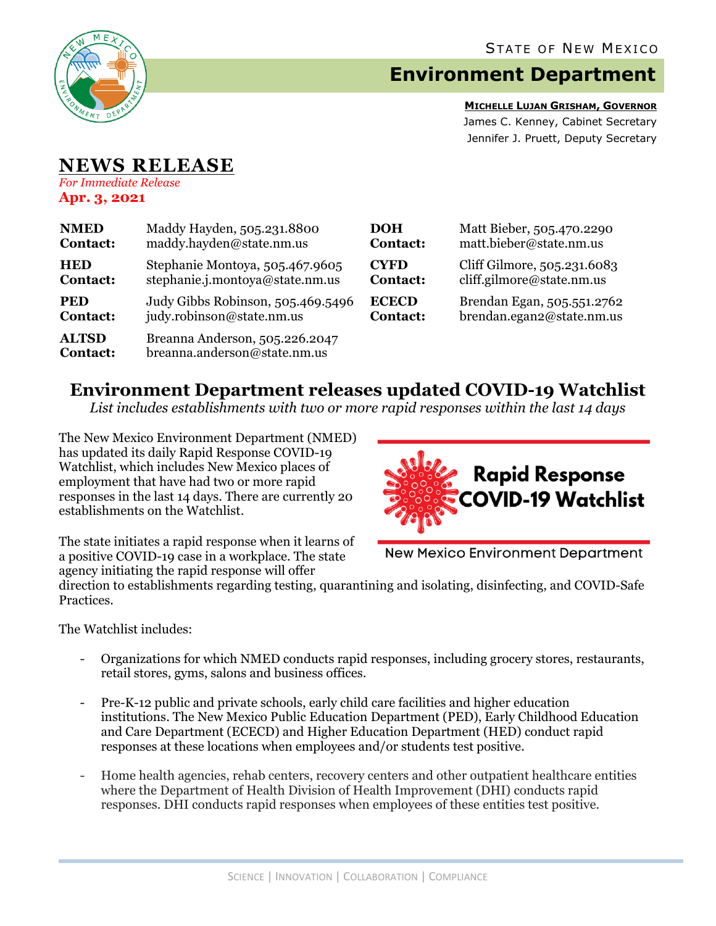

## **Environment Department**

**MICHELLE LUJAN GRISHAM, GOVERNOR** James C. Kenney, Cabinet Secretary Jennifer J. Pruett, Deputy Secretary

## **NEWS RELEASE** *For Immediate Release*

**Apr. 3, 2021**

| <b>NMED</b>                     | Maddy Hayden, 505.231.8800                                     | <b>DOH</b>      | Matt Bieber, 505.470.2290    |
|---------------------------------|----------------------------------------------------------------|-----------------|------------------------------|
| <b>Contact:</b>                 | maddy.hayden@state.nm.us                                       | <b>Contact:</b> | matt.bieber@state.nm.us      |
| <b>HED</b>                      | Stephanie Montoya, 505.467.9605                                | <b>CYFD</b>     | Cliff Gilmore, 505.231.6083  |
| <b>Contact:</b>                 | stephanie.j.montoya@state.nm.us                                | <b>Contact:</b> | $cliff$ .gilmore@state.nm.us |
| <b>PED</b>                      | Judy Gibbs Robinson, 505.469.5496                              | <b>ECECD</b>    | Brendan Egan, 505.551.2762   |
| <b>Contact:</b>                 | judy.robinson@state.nm.us                                      | <b>Contact:</b> | brendan.egan2@state.nm.us    |
| <b>ALTSD</b><br><b>Contact:</b> | Breanna Anderson, 505.226.2047<br>breanna.anderson@state.nm.us |                 |                              |

## **Environment Department releases updated COVID-19 Watchlist**

*List includes establishments with two or more rapid responses within the last 14 days*

The New Mexico Environment Department (NMED) has updated its daily Rapid Response COVID-19 Watchlist, which includes New Mexico places of employment that have had two or more rapid responses in the last 14 days. There are currently 20 establishments on the Watchlist.



The state initiates a rapid response when it learns of a positive COVID-19 case in a workplace. The state agency initiating the rapid response will offer

**New Mexico Environment Department** 

direction to establishments regarding testing, quarantining and isolating, disinfecting, and COVID-Safe Practices.

The Watchlist includes:

- Organizations for which NMED conducts rapid responses, including grocery stores, restaurants, retail stores, gyms, salons and business offices.
- Pre-K-12 public and private schools, early child care facilities and higher education institutions. The New Mexico Public Education Department (PED), Early Childhood Education and Care Department (ECECD) and Higher Education Department (HED) conduct rapid responses at these locations when employees and/or students test positive.
- Home health agencies, rehab centers, recovery centers and other outpatient healthcare entities where the Department of Health Division of Health Improvement (DHI) conducts rapid responses. DHI conducts rapid responses when employees of these entities test positive.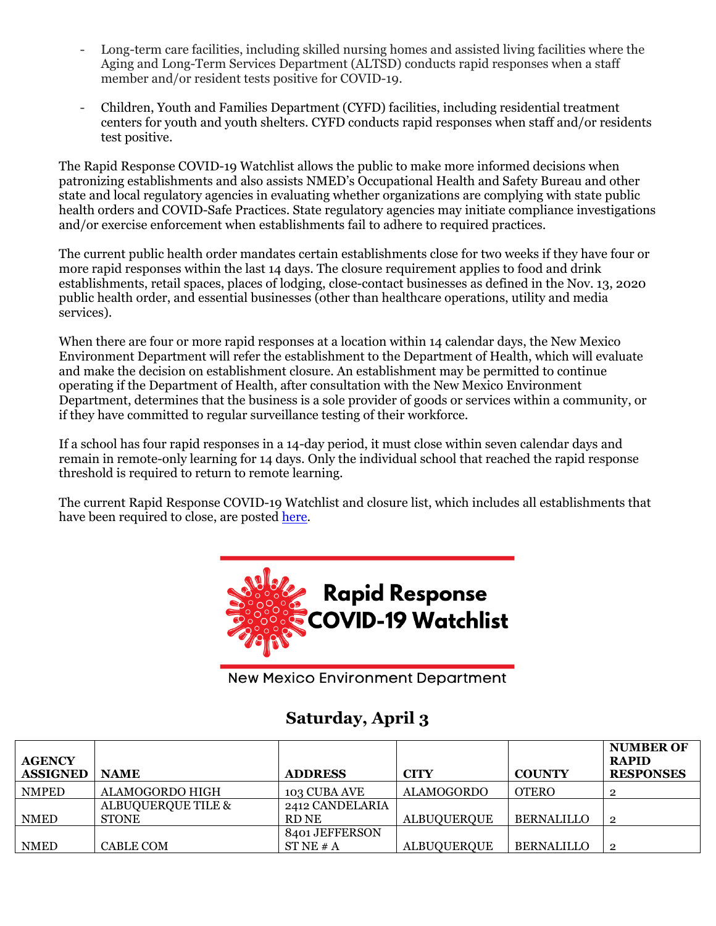- Long-term care facilities, including skilled nursing homes and assisted living facilities where the Aging and Long-Term Services Department (ALTSD) conducts rapid responses when a staff member and/or resident tests positive for COVID-19.
- Children, Youth and Families Department (CYFD) facilities, including residential treatment centers for youth and youth shelters. CYFD conducts rapid responses when staff and/or residents test positive.

The Rapid Response COVID-19 Watchlist allows the public to make more informed decisions when patronizing establishments and also assists NMED's Occupational Health and Safety Bureau and other state and local regulatory agencies in evaluating whether organizations are complying with state public health orders and COVID-Safe Practices. State regulatory agencies may initiate compliance investigations and/or exercise enforcement when establishments fail to adhere to required practices.

The current public health order mandates certain establishments close for two weeks if they have four or more rapid responses within the last 14 days. The closure requirement applies to food and drink establishments, retail spaces, places of lodging, close-contact businesses as defined in the Nov. 13, 2020 public health order, and essential businesses (other than healthcare operations, utility and media services).

When there are four or more rapid responses at a location within 14 calendar days, the New Mexico Environment Department will refer the establishment to the Department of Health, which will evaluate and make the decision on establishment closure. An establishment may be permitted to continue operating if the Department of Health, after consultation with the New Mexico Environment Department, determines that the business is a sole provider of goods or services within a community, or if they have committed to regular surveillance testing of their workforce.

If a school has four rapid responses in a 14-day period, it must close within seven calendar days and remain in remote-only learning for 14 days. Only the individual school that reached the rapid response threshold is required to return to remote learning.

The current Rapid Response COVID-19 Watchlist and closure list, which includes all establishments that have been required to close, are posted [here.](https://www.env.nm.gov/rapid-response-data/)



**New Mexico Environment Department** 

## **Saturday, April 3**

| <b>AGENCY</b><br><b>ASSIGNED</b> | <b>NAME</b>        | <b>ADDRESS</b>      | <b>CITY</b>        | <b>COUNTY</b>     | <b>NUMBER OF</b><br><b>RAPID</b><br><b>RESPONSES</b> |
|----------------------------------|--------------------|---------------------|--------------------|-------------------|------------------------------------------------------|
| <b>NMPED</b>                     | ALAMOGORDO HIGH    | <b>103 CUBA AVE</b> | <b>ALAMOGORDO</b>  | <b>OTERO</b>      | 0                                                    |
|                                  | ALBUQUERQUE TILE & | 2412 CANDELARIA     |                    |                   |                                                      |
| <b>NMED</b>                      | <b>STONE</b>       | RD NE               | <b>ALBUQUERQUE</b> | <b>BERNALILLO</b> | $\mathbf 2$                                          |
|                                  |                    | 8401 JEFFERSON      |                    |                   |                                                      |
| <b>NMED</b>                      | <b>CABLE COM</b>   | STNE # A            | <b>ALBUQUERQUE</b> | <b>BERNALILLO</b> | $\overline{2}$                                       |